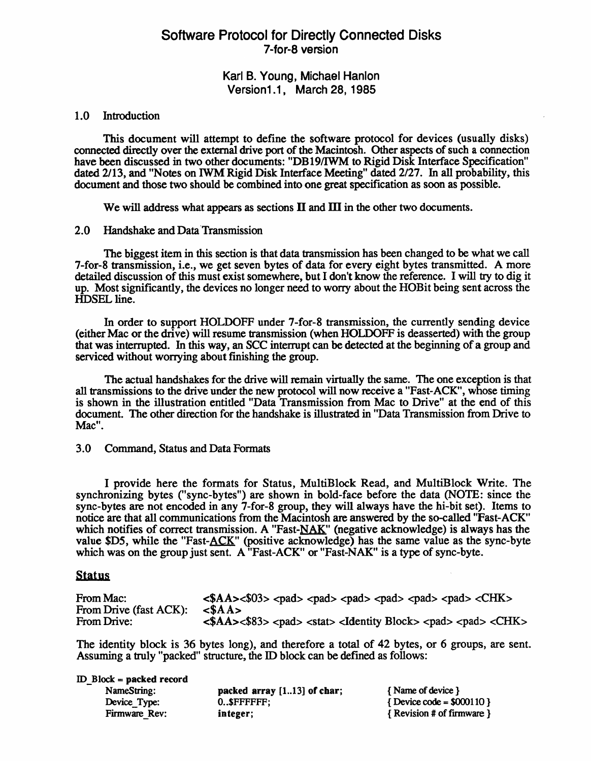## Software Protocol for Directly Connected Disks 7 -for-8 version

Karl B. Young, Michael Hanlon Version1.1, March 28, 1985

#### 1.0 Introduction

This document will attempt to define the software protocol for devices (usually disks) connected directly over the external drive port of the Macintosh. Other aspects of such a connection have been discussed in two other documents: "DB 19/IWM to Rigid Disk Interface Specification" dated 2/13, and "Notes on IWM Rigid Disk Interface Meeting" dated 2/27. In all probability, this document and those two should be combined into one great specification as soon as possible.

We will address what appears as sections  $II$  and  $III$  in the other two documents.

#### 2.0 Handshake and Data 'Transmission

The biggest item in this section is that data transmission has been changed to be what we call 7-for-8 transmission, i.e., we get seven bytes of data for every eight bytes transmitted. A more detailed discussion of this must exist somewhere, but I don't know the reference. I will try to dig it up. Most significantly, the devices no longer need to worry about the HOB it being sent across the HDSEL line.

In order to support HOLDOFF under 7-for-8 transmission, the currently sending device (either Mac or the drive) will resume transmission (when HOLDOFF is de asserted) with the group that was interrupted. In this way, an SCC interrupt can be detected at the beginning of a group and serviced without worrying about finishing the group.

The actual handshakes for the drive will remain virtually the same. The one exception is that all transmissions to the drive under the new protocol will now receive a "Fast-ACK", whose timing is shown in the illustration entitled "Data Transmission from Mac to Drive" at the end of this document. The other direction for the handshake is illustrated in "Data Transmission from Drive to Mac".

#### 3.0 Command, Status and Data Formats

I provide here the formats for Status, MultiBlock Read, and MultiBlock Write. The synchronizing bytes ("sync-bytes") are shown in bold-face before the data (NOTE: since the sync-bytes are not encoded in any 7-for-8 group, they will always have the hi-bit set). Items to notice are that all communications from the Macintosh are answered by the so-called "Fast-ACK" which notifies of correct transmission. A "Fast- $NAK$ " (negative acknowledge) is always has the value \$D5, while the "Fast- $ACK$ " (positive acknowledge) has the same value as the sync-byte which was on the group just sent. A "Fast-ACK" or "Fast-NAK" is a type of sync-byte.

#### **Status**

| From Mac:              | $\langle \$AA \rangle \langle \$03 \rangle \langle \text{pad} \rangle \langle \text{pad} \rangle \langle \text{pad} \rangle \langle \text{pad} \rangle \langle \text{pad} \rangle \langle \text{CHK} \rangle$ |
|------------------------|---------------------------------------------------------------------------------------------------------------------------------------------------------------------------------------------------------------|
| From Drive (fast ACK): | $\angle SAA>$                                                                                                                                                                                                 |
| From Drive:            | $\langle \$AA \rangle \langle \$83 \rangle \langle \text{pad} \rangle \langle \text{stat} \rangle \langle \text{Identity Block} \rangle \langle \text{pad} \rangle \langle \text{CHK} \rangle$                |

The identity block is 36 bytes long), and therefore a total of 42 bytes, or 6 groups, are sent. Assuming a truly "packed" structure, the ID block can be defmed as follows:

#### ID\_Block = packed record

| NameString:   | packed array $[113]$ of char; | { Name of device }               |
|---------------|-------------------------------|----------------------------------|
| Device Type:  | $0.$ SFFFFFFF:                | $\{$ Device code = \$000110 $\}$ |
| Firmware Rev: | integer;                      | { Revision # of firmware }       |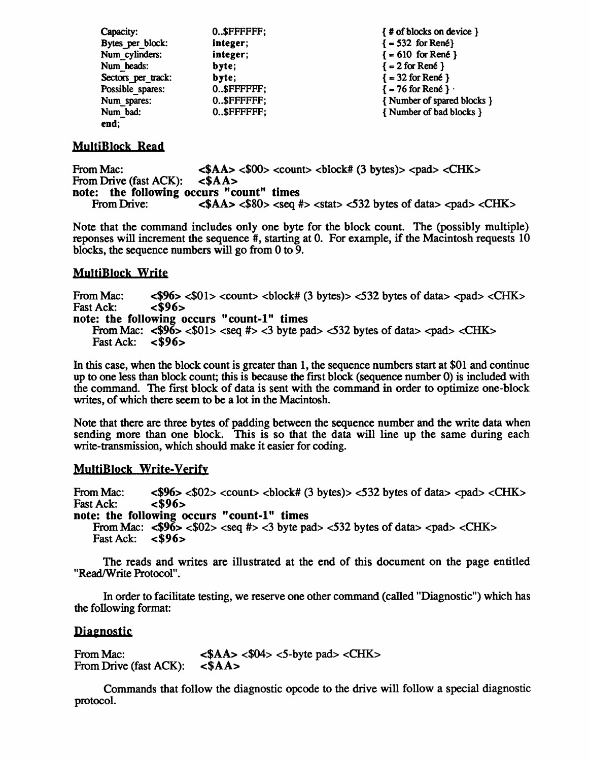| Capacity:          | 0.SFFFFFFF: | {# of blocks on device }   |
|--------------------|-------------|----------------------------|
| Bytes per block:   | integer;    | $= 532$ for René           |
| Num cylinders:     | integer;    | $\{ = 610$ for René }      |
| Num heads:         | byte:       | $\{ = 2$ for René }        |
| Sectors per track: | byte:       | $= 32$ for René }          |
| Possible spares:   | 0.SFFFFFFF; | $\{-76$ for René } $\cdot$ |
| Num spares:        | 0.SFFFFFFF; | {Number of spared blocks } |
| Num_bad:           | 0SFFFFFFF:  | {Number of bad blocks }    |
| end:               |             |                            |

## MultjBlock Read

From Mac: <br>  $\angle AA > \angle 00$  < count >  $\angle 100$  < count =  $\angle 3$  bytes) >  $\angle$  cad >  $\angle$ CHK > From Drive (fast ACK):  $\angle 3A$  > From Drive (fast ACK): note: the following occurs "count" times<br>From Drive: <\$AA> <\$80> <seq #  $\langle$ SAA>  $\langle$ S80>  $\langle$ seq #>  $\langle$ stat>  $\langle$ 532 bytes of data>  $\langle$ pad>  $\langle$ CHK>

Note that the command includes only one byte for the block count. The (possibly multiple) reponses will increment the sequence #, starting at O. For example, if the Macintosh requests 10 blocks, the sequence numbers will go from 0 to 9.

## MultiBlock Write

From Mac:  $$\langle$96\rangle$ <01\rangle$   <532 bytes of data$ >   Fast Ack: < $96\rangle$$ Fast Ack: note: the following occurs "count-1" times From Mac:  $\langle $9\bar{6} \rangle \langle $01 \rangle \langle $eq \rangle \langle $3 \rangle$  byte pad $\langle $32 \rangle$  bytes of data  $\langle $p$$  ad $\langle $CHK > $1 \rangle \langle $4 \rangle \langle $3 \rangle \langle $eq \rangle \langle $3 \rangle \langle $eq \rangle \langle $3 \rangle \langle $eq \rangle \langle $eq \rangle \langle $eq \rangle \langle $eq \rangle \langle $eq \rangle \langle $eq \rangle \langle $eq \rangle \langle $eq \rangle \langle $eq \rangle \langle $eq \rangle \langle $eq \rangle \langle $eq \rangle \langle $eq \rangle \langle $eq \rangle \langle $eq \$ Fast Ack:

In this case, when the block count is greater than 1, the sequence numbers start at \$01 and continue up to one less than block count; this is because the first block (sequence number 0) is included with the command. The first block of data is sent with the command in order to optimize one-block writes, of which there seem to be a lot in the Macintosh.

Note that there are three bytes of padding between the sequence number and the write data when sending more than one block. This is so that the data will line up the same during each write-transmission, which should make it easier for coding.

### MultiBlock Write-verify

From Mac:  $\langle $96 \rangle \langle $02 \rangle \langle $100 \rangle \langle $100 \rangle \langle $100 \rangle \langle $100 \rangle \langle $100 \rangle \langle $100 \rangle \langle $100 \rangle \langle $100 \rangle \langle $100 \rangle \langle $100 \rangle \langle $100 \rangle \langle $100 \rangle \langle $100 \rangle \langle $100 \rangle \langle $100 \rangle \langle $100 \rangle \langle $100 \rangle \langle $100 \rangle \langle $100 \rangle \langle $100 \rangle \langle $100 \rangle \langle $100 \rangle \langle $100 \rangle \langle $100 \rangle \langle $1$ Fast Ack: note: the following occurs "count-I" times From Mac:  $\langle $96 \rangle \langle $02 \rangle \langle $eq \rangle$  #>  $\langle 3 \rangle$  byte pad $\langle 532 \rangle$  bytes of data  $\langle $pad \rangle \langle \langle CHK \rangle \rangle$ 

```
Fast Ack: <$96>
```
The reads and writes are illustrated at the end of this document on the page entitled "Read/Write Protocol".

In order to facilitate testing, we reserve one other command (called "Diagnostic") which has the following format:

### **Diagnostic**

From Mac: From Drive (fast ACK):  $<$ \$AA>  $<$ \$04>  $<$ 5-byte pad>  $<$ CHK>  $$$AA>$$ 

Commands that follow the diagnostic opcode to the drive will follow a special diagnostic protocol.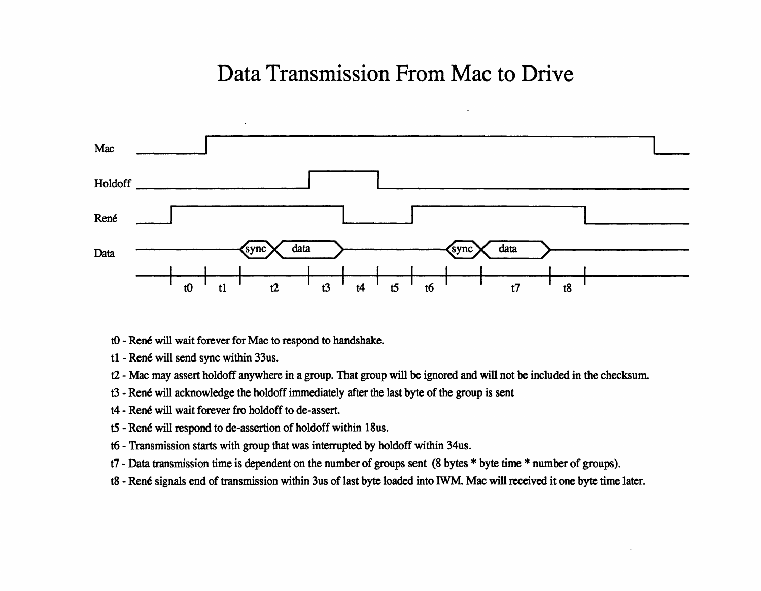## Data Transmission From Mac to Drive



- t0 René will wait forever for Mac to respond to handshake.
- t1 René will send sync within 33us.
- t2 Mac may assert holdoff anywhere in a group. That group will be ignored and will not be included in the checksum.
- t3 René will acknowledge the holdoff immediately after the last byte of the group is sent
- t4 René will wait forever fro holdoff to de-assert.
- t5 René will respond to de-assertion of holdoff within 18us.
- t6 Transmission starts with group that was interrupted by holdoff within 34us.
- t7 Data transmission time is dependent on the number of groups sent (8 bytes \* byte time \* number of groups).
- t8 René signals end of transmission within 3us of last byte loaded into IWM. Mac will received it one byte time later.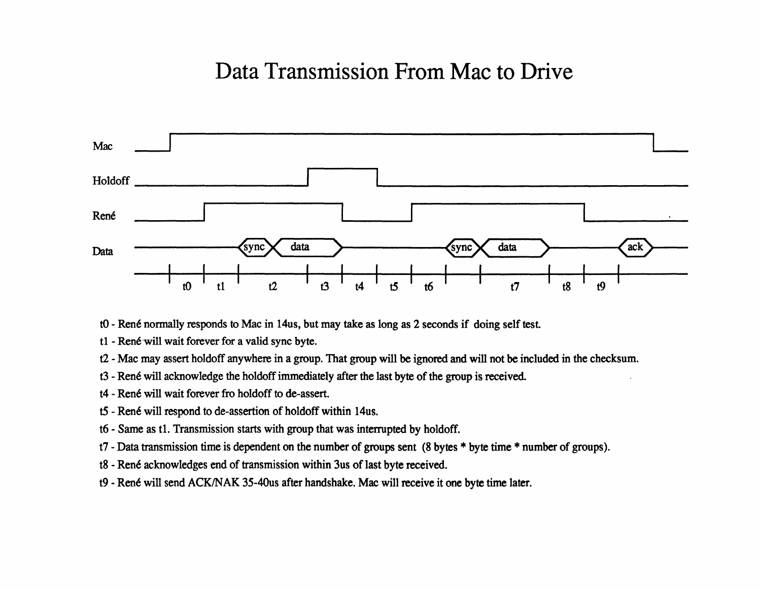## Data Transmission From Mac to Drive



- t0 René normally responds to Mac in 14us, but may take as long as 2 seconds if doing self test.
- tl René will wait forever for a valid sync byte.
- t2 Mac may assert holdoff anywhere in a group. That group will be ignored and will not be included in the checksum.
- t3 René will acknowledge the holdoff immediately after the last byte of the group is received.
- t4 René will wait forever fro holdoff to de-assert.
- t5 René will respond to de-assertion of holdoff within 14us.
- t6 Same as tl. Transmission starts with group that was interrupted by holdoff.
- t7 Data transmission time is dependent on the number of groups sent (8 bytes \* byte time \* number of groups).
- t8 René acknowledges end of transmission within 3us of last byte received.
- t9 René will send ACK/NAK 35-40us after handshake. Mac will receive it one byte time later.